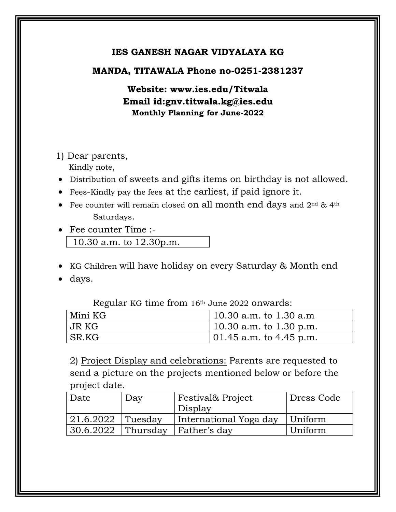## **IES GANESH NAGAR VIDYALAYA KG**

## **MANDA, TITAWALA Phone no-0251-2381237**

**Website: www.ies.edu/Titwala Email id:gnv.titwala.kg@ies.edu Monthly Planning for June-2022**

1) Dear parents, Kindly note,

- Distribution of sweets and gifts items on birthday is not allowed.
- Fees-Kindly pay the fees at the earliest, if paid ignore it.
- Fee counter will remain closed on all month end days and 2<sup>nd</sup> & 4<sup>th</sup> Saturdays.
- Fee counter Time :- 10.30 a.m. to 12.30p.m.
- KG Children will have holiday on every Saturday & Month end
- days.

Regular KG time from 16th June 2022 onwards:

| Mini KG | 10.30 a.m. to $1.30$ a.m        |
|---------|---------------------------------|
| JR KG   | $\vert$ 10.30 a.m. to 1.30 p.m. |
| SR.KG   | $ 01.45$ a.m. to 4.45 p.m.      |

2) Project Display and celebrations: Parents are requested to send a picture on the projects mentioned below or before the project date.

| Date              | Day      | Festival& Project      | Dress Code |
|-------------------|----------|------------------------|------------|
|                   |          | Display                |            |
| 21.6.2022 Tuesday |          | International Yoga day | Uniform    |
| 30.6.2022         | Thursday | Father's day           | Uniform    |